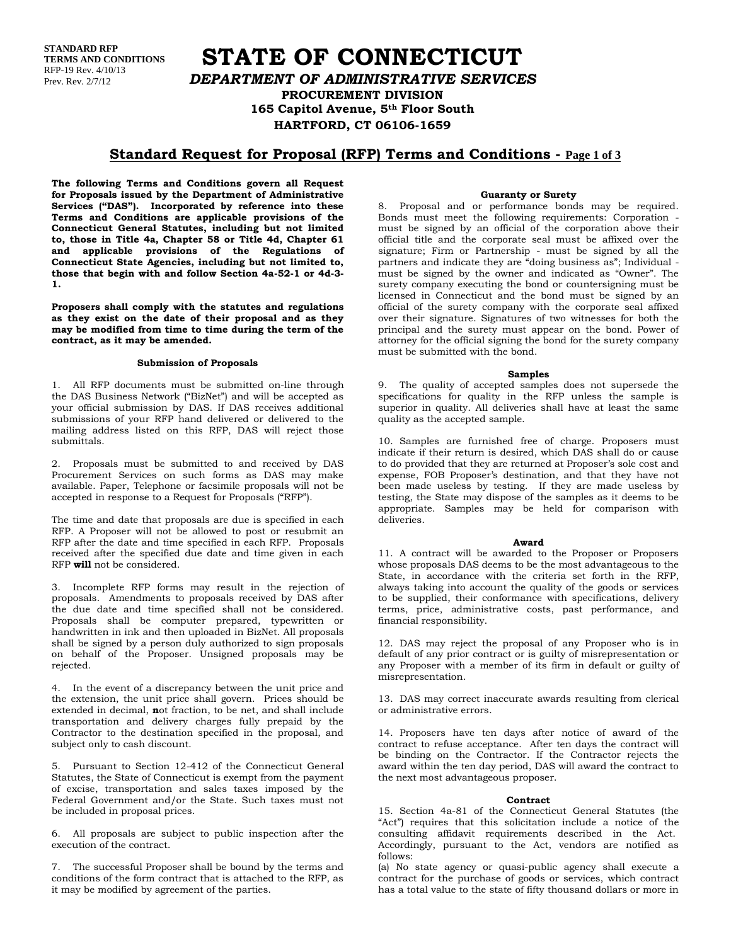**STANDARD RFP TERMS AND CONDITIONS** RFP-19 Rev. 4/10/13 Prev. Rev. 2/7/12

**STATE OF CONNECTICUT** *DEPARTMENT OF ADMINISTRATIVE SERVICES* **PROCUREMENT DIVISION 165 Capitol Avenue, 5th Floor South HARTFORD, CT 06106-1659**

## **Standard Request for Proposal (RFP) Terms and Conditions - Page 1 of 3**

**The following Terms and Conditions govern all Request for Proposals issued by the Department of Administrative Services ("DAS"). Incorporated by reference into these Terms and Conditions are applicable provisions of the Connecticut General Statutes, including but not limited to, those in Title 4a, Chapter 58 or Title 4d, Chapter 61 and applicable provisions of the Regulations of Connecticut State Agencies, including but not limited to, those that begin with and follow Section 4a-52-1 or 4d-3- 1.**

**Proposers shall comply with the statutes and regulations as they exist on the date of their proposal and as they may be modified from time to time during the term of the contract, as it may be amended.**

### **Submission of Proposals**

1. All RFP documents must be submitted on-line through the DAS Business Network ("BizNet") and will be accepted as your official submission by DAS. If DAS receives additional submissions of your RFP hand delivered or delivered to the mailing address listed on this RFP, DAS will reject those submittals.

2. Proposals must be submitted to and received by DAS Procurement Services on such forms as DAS may make available. Paper, Telephone or facsimile proposals will not be accepted in response to a Request for Proposals ("RFP").

The time and date that proposals are due is specified in each RFP. A Proposer will not be allowed to post or resubmit an RFP after the date and time specified in each RFP. Proposals received after the specified due date and time given in each RFP **will** not be considered.

3. Incomplete RFP forms may result in the rejection of proposals. Amendments to proposals received by DAS after the due date and time specified shall not be considered. Proposals shall be computer prepared, typewritten or handwritten in ink and then uploaded in BizNet. All proposals shall be signed by a person duly authorized to sign proposals on behalf of the Proposer. Unsigned proposals may be rejected.

4. In the event of a discrepancy between the unit price and the extension, the unit price shall govern. Prices should be extended in decimal, **n**ot fraction, to be net, and shall include transportation and delivery charges fully prepaid by the Contractor to the destination specified in the proposal, and subject only to cash discount.

5. Pursuant to Section 12-412 of the Connecticut General Statutes, the State of Connecticut is exempt from the payment of excise, transportation and sales taxes imposed by the Federal Government and/or the State. Such taxes must not be included in proposal prices.

6. All proposals are subject to public inspection after the execution of the contract.

7. The successful Proposer shall be bound by the terms and conditions of the form contract that is attached to the RFP, as it may be modified by agreement of the parties.

### **Guaranty or Surety**

8. Proposal and or performance bonds may be required. Bonds must meet the following requirements: Corporation must be signed by an official of the corporation above their official title and the corporate seal must be affixed over the signature; Firm or Partnership - must be signed by all the partners and indicate they are "doing business as"; Individual must be signed by the owner and indicated as "Owner". The surety company executing the bond or countersigning must be licensed in Connecticut and the bond must be signed by an official of the surety company with the corporate seal affixed over their signature. Signatures of two witnesses for both the principal and the surety must appear on the bond. Power of attorney for the official signing the bond for the surety company must be submitted with the bond.

### **Samples**

9. The quality of accepted samples does not supersede the specifications for quality in the RFP unless the sample is superior in quality. All deliveries shall have at least the same quality as the accepted sample.

10. Samples are furnished free of charge. Proposers must indicate if their return is desired, which DAS shall do or cause to do provided that they are returned at Proposer's sole cost and expense, FOB Proposer's destination, and that they have not been made useless by testing. If they are made useless by testing, the State may dispose of the samples as it deems to be appropriate. Samples may be held for comparison with deliveries.

#### **Award**

11. A contract will be awarded to the Proposer or Proposers whose proposals DAS deems to be the most advantageous to the State, in accordance with the criteria set forth in the RFP, always taking into account the quality of the goods or services to be supplied, their conformance with specifications, delivery terms, price, administrative costs, past performance, and financial responsibility.

12. DAS may reject the proposal of any Proposer who is in default of any prior contract or is guilty of misrepresentation or any Proposer with a member of its firm in default or guilty of misrepresentation.

13. DAS may correct inaccurate awards resulting from clerical or administrative errors.

14. Proposers have ten days after notice of award of the contract to refuse acceptance. After ten days the contract will be binding on the Contractor. If the Contractor rejects the award within the ten day period, DAS will award the contract to the next most advantageous proposer.

#### **Contract**

15. Section 4a-81 of the Connecticut General Statutes (the "Act") requires that this solicitation include a notice of the consulting affidavit requirements described in the Act. Accordingly, pursuant to the Act, vendors are notified as follows:

(a) No state agency or quasi-public agency shall execute a contract for the purchase of goods or services, which contract has a total value to the state of fifty thousand dollars or more in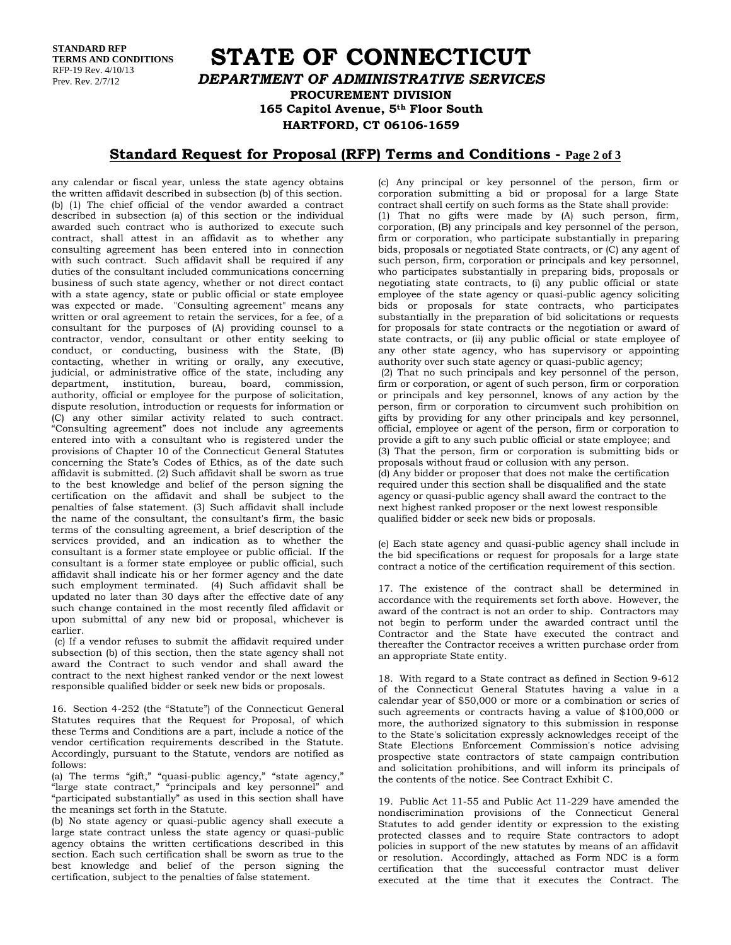**STANDARD RFP TERMS AND CONDITIONS** RFP-19 Rev. 4/10/13 Prev. Rev. 2/7/12

# **STATE OF CONNECTICUT** *DEPARTMENT OF ADMINISTRATIVE SERVICES* **PROCUREMENT DIVISION 165 Capitol Avenue, 5th Floor South HARTFORD, CT 06106-1659**

# **Standard Request for Proposal (RFP) Terms and Conditions - Page 2 of 3**

any calendar or fiscal year, unless the state agency obtains the written affidavit described in subsection (b) of this section. (b) (1) The chief official of the vendor awarded a contract described in subsection (a) of this section or the individual awarded such contract who is authorized to execute such contract, shall attest in an affidavit as to whether any consulting agreement has been entered into in connection with such contract. Such affidavit shall be required if any duties of the consultant included communications concerning business of such state agency, whether or not direct contact with a state agency, state or public official or state employee was expected or made. "Consulting agreement" means any written or oral agreement to retain the services, for a fee, of a consultant for the purposes of (A) providing counsel to a contractor, vendor, consultant or other entity seeking to conduct, or conducting, business with the State, (B) contacting, whether in writing or orally, any executive, judicial, or administrative office of the state, including any department, institution, bureau, board, commission, authority, official or employee for the purpose of solicitation, dispute resolution, introduction or requests for information or (C) any other similar activity related to such contract. "Consulting agreement" does not include any agreements entered into with a consultant who is registered under the provisions of Chapter 10 of the Connecticut General Statutes concerning the State's Codes of Ethics, as of the date such affidavit is submitted. (2) Such affidavit shall be sworn as true to the best knowledge and belief of the person signing the certification on the affidavit and shall be subject to the penalties of false statement. (3) Such affidavit shall include the name of the consultant, the consultant's firm, the basic terms of the consulting agreement, a brief description of the services provided, and an indication as to whether the consultant is a former state employee or public official. If the consultant is a former state employee or public official, such affidavit shall indicate his or her former agency and the date such employment terminated. (4) Such affidavit shall be updated no later than 30 days after the effective date of any such change contained in the most recently filed affidavit or upon submittal of any new bid or proposal, whichever is earlier.

(c) If a vendor refuses to submit the affidavit required under subsection (b) of this section, then the state agency shall not award the Contract to such vendor and shall award the contract to the next highest ranked vendor or the next lowest responsible qualified bidder or seek new bids or proposals.

16. Section 4-252 (the "Statute") of the Connecticut General Statutes requires that the Request for Proposal, of which these Terms and Conditions are a part, include a notice of the vendor certification requirements described in the Statute. Accordingly, pursuant to the Statute, vendors are notified as follows:

(a) The terms "gift," "quasi-public agency," "state agency," "large state contract," "principals and key personnel" and "participated substantially" as used in this section shall have the meanings set forth in the Statute.

(b) No state agency or quasi-public agency shall execute a large state contract unless the state agency or quasi-public agency obtains the written certifications described in this section. Each such certification shall be sworn as true to the best knowledge and belief of the person signing the certification, subject to the penalties of false statement.

(c) Any principal or key personnel of the person, firm or corporation submitting a bid or proposal for a large State contract shall certify on such forms as the State shall provide: (1) That no gifts were made by (A) such person, firm, corporation, (B) any principals and key personnel of the person, firm or corporation, who participate substantially in preparing bids, proposals or negotiated State contracts, or (C) any agent of such person, firm, corporation or principals and key personnel, who participates substantially in preparing bids, proposals or negotiating state contracts, to (i) any public official or state employee of the state agency or quasi-public agency soliciting bids or proposals for state contracts, who participates substantially in the preparation of bid solicitations or requests for proposals for state contracts or the negotiation or award of state contracts, or (ii) any public official or state employee of any other state agency, who has supervisory or appointing authority over such state agency or quasi-public agency; (2) That no such principals and key personnel of the person, firm or corporation, or agent of such person, firm or corporation or principals and key personnel, knows of any action by the person, firm or corporation to circumvent such prohibition on

gifts by providing for any other principals and key personnel, official, employee or agent of the person, firm or corporation to provide a gift to any such public official or state employee; and (3) That the person, firm or corporation is submitting bids or proposals without fraud or collusion with any person. (d) Any bidder or proposer that does not make the certification required under this section shall be disqualified and the state agency or quasi-public agency shall award the contract to the next highest ranked proposer or the next lowest responsible qualified bidder or seek new bids or proposals.

(e) Each state agency and quasi-public agency shall include in the bid specifications or request for proposals for a large state contract a notice of the certification requirement of this section.

17. The existence of the contract shall be determined in accordance with the requirements set forth above. However, the award of the contract is not an order to ship. Contractors may not begin to perform under the awarded contract until the Contractor and the State have executed the contract and thereafter the Contractor receives a written purchase order from an appropriate State entity.

18. With regard to a State contract as defined in Section 9-612 of the Connecticut General Statutes having a value in a calendar year of \$50,000 or more or a combination or series of such agreements or contracts having a value of \$100,000 or more, the authorized signatory to this submission in response to the State's solicitation expressly acknowledges receipt of the State Elections Enforcement Commission's notice advising prospective state contractors of state campaign contribution and solicitation prohibitions, and will inform its principals of the contents of the notice. See Contract Exhibit C.

19. Public Act 11-55 and Public Act 11-229 have amended the nondiscrimination provisions of the Connecticut General Statutes to add gender identity or expression to the existing protected classes and to require State contractors to adopt policies in support of the new statutes by means of an affidavit or resolution. Accordingly, attached as Form NDC is a form certification that the successful contractor must deliver executed at the time that it executes the Contract. The